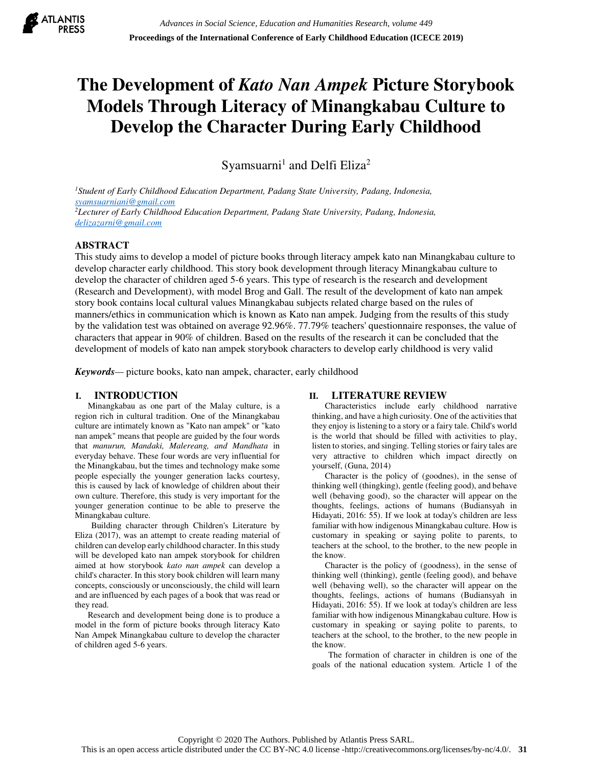

# **The Development of** *Kato Nan Ampek* **Picture Storybook Models Through Literacy of Minangkabau Culture to Develop the Character During Early Childhood**

Syamsuarni<sup>1</sup> and Delfi Eliza<sup>2</sup>

*<sup>1</sup>Student of Early Childhood Education Department, Padang State University, Padang, Indonesia, syamsuarniani@gmail.com <sup>2</sup>Lecturer of Early Childhood Education Department, Padang State University, Padang, Indonesia, delizazarni@gmail.com*

## **ABSTRACT**

This study aims to develop a model of picture books through literacy ampek kato nan Minangkabau culture to develop character early childhood. This story book development through literacy Minangkabau culture to develop the character of children aged 5-6 years. This type of research is the research and development (Research and Development), with model Brog and Gall. The result of the development of kato nan ampek story book contains local cultural values Minangkabau subjects related charge based on the rules of manners/ethics in communication which is known as Kato nan ampek. Judging from the results of this study by the validation test was obtained on average 92.96%. 77.79% teachers' questionnaire responses, the value of characters that appear in 90% of children. Based on the results of the research it can be concluded that the development of models of kato nan ampek storybook characters to develop early childhood is very valid

*Keywords—* picture books, kato nan ampek, character, early childhood

## **I. INTRODUCTION**

Minangkabau as one part of the Malay culture, is a region rich in cultural tradition. One of the Minangkabau culture are intimately known as "Kato nan ampek" or "kato nan ampek" means that people are guided by the four words that *manurun, Mandaki, Malereang, and Mandhata* in everyday behave. These four words are very influential for the Minangkabau, but the times and technology make some people especially the younger generation lacks courtesy, this is caused by lack of knowledge of children about their own culture. Therefore, this study is very important for the younger generation continue to be able to preserve the Minangkabau culture.

Building character through Children's Literature by Eliza (2017), was an attempt to create reading material of children can develop early childhood character. In this study will be developed kato nan ampek storybook for children aimed at how storybook *kato nan ampek* can develop a child's character. In this story book children will learn many concepts, consciously or unconsciously, the child will learn and are influenced by each pages of a book that was read or they read.

Research and development being done is to produce a model in the form of picture books through literacy Kato Nan Ampek Minangkabau culture to develop the character of children aged 5-6 years.

## **II. LITERATURE REVIEW**

Characteristics include early childhood narrative thinking, and have a high curiosity. One of the activities that they enjoy is listening to a story or a fairy tale. Child's world is the world that should be filled with activities to play, listen to stories, and singing. Telling stories or fairy tales are very attractive to children which impact directly on yourself, (Guna, 2014)

Character is the policy of (goodnes), in the sense of thinking well (thingking), gentle (feeling good), and behave well (behaving good), so the character will appear on the thoughts, feelings, actions of humans (Budiansyah in Hidayati, 2016: 55). If we look at today's children are less familiar with how indigenous Minangkabau culture. How is customary in speaking or saying polite to parents, to teachers at the school, to the brother, to the new people in the know.

Character is the policy of (goodness), in the sense of thinking well (thinking), gentle (feeling good), and behave well (behaving well), so the character will appear on the thoughts, feelings, actions of humans (Budiansyah in Hidayati, 2016: 55). If we look at today's children are less familiar with how indigenous Minangkabau culture. How is customary in speaking or saying polite to parents, to teachers at the school, to the brother, to the new people in the know.

The formation of character in children is one of the goals of the national education system. Article 1 of the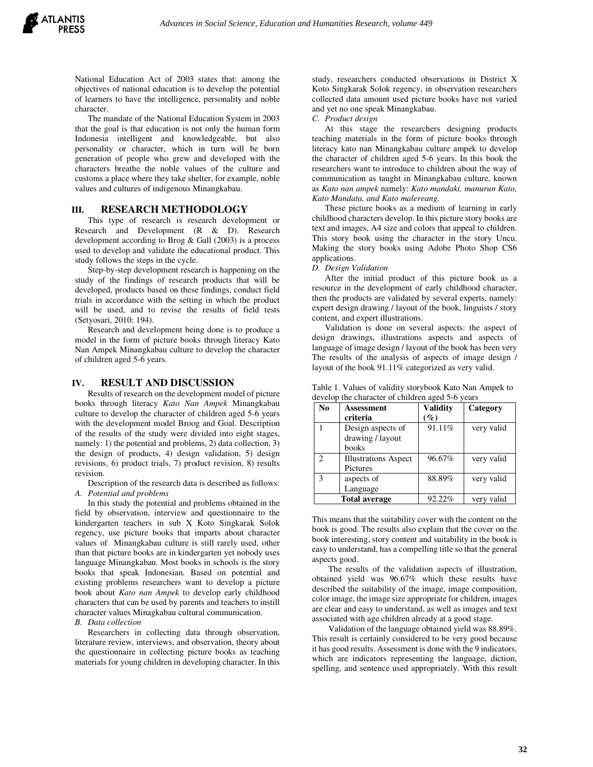National Education Act of 2003 states that: among the objectives of national education is to develop the potential of learners to have the intelligence, personality and noble character.

The mandate of the National Education System in 2003 that the goal is that education is not only the human form Indonesia intelligent and knowledgeable, but also personality or character, which in turn will be born generation of people who grew and developed with the characters breathe the noble values of the culture and customs a place where they take shelter, for example, noble values and cultures of indigenous Minangkabau.

### **III. RESEARCH METHODOLOGY**

This type of research is research development or Research and Development (R & D). Research development according to Brog & Gall (2003) is a process used to develop and validate the educational product. This study follows the steps in the cycle.

Step-by-step development research is happening on the study of the findings of research products that will be developed, products based on these findings, conduct field trials in accordance with the setting in which the product will be used, and to revise the results of field tests (Setyosari, 2010: 194).

Research and development being done is to produce a model in the form of picture books through literacy Kato Nan Ampek Minangkabau culture to develop the character of children aged 5-6 years.

#### **IV. RESULT AND DISCUSSION**

Results of research on the development model of picture books through literacy *Kato Nan Ampek* Minangkabau culture to develop the character of children aged 5-6 years with the development model Broog and Goal. Description of the results of the study were divided into eight stages, namely: 1) the potential and problems, 2) data collection, 3) the design of products, 4) design validation, 5) design revisions, 6) product trials, 7) product revision, 8) results revision.

Description of the research data is described as follows: *A. Potential and problems*

In this study the potential and problems obtained in the field by observation, interview and questionnaire to the kindergarten teachers in sub X Koto Singkarak Solok regency, use picture books that imparts about character values of Minangkabau culture is still rarely used, other than that picture books are in kindergarten yet nobody uses language Minangkabau. Most books in schools is the story books that speak Indonesian. Based on potential and existing problems researchers want to develop a picture book about *Kato nan Ampek* to develop early childhood characters that can be used by parents and teachers to instill character values Minagkabau cultural communication.

*B. Data collection*

Researchers in collecting data through observation, literature review, interviews, and observation, theory about the questionnaire in collecting picture books as teaching materials for young children in developing character. In this

study, researchers conducted observations in District X Koto Singkarak Solok regency, in observation researchers collected data amount used picture books have not varied and yet no one speak Minangkabau.

*C. Product design*

At this stage the researchers designing products teaching materials in the form of picture books through literacy kato nan Minangkabau culture ampek to develop the character of children aged 5-6 years. In this book the researchers want to introduce to children about the way of communication as taught in Minangkabau culture, known as *Kato nan ampek* namely: *Kato mandaki, manurun Kato, Kato Mandata, and Kato malereang.* 

These picture books as a medium of learning in early childhood characters develop. In this picture story books are text and images, A4 size and colors that appeal to children. This story book using the character in the story Uncu. Making the story books using Adobe Photo Shop CS6 applications.

#### *D. Design Validation*

After the initial product of this picture book as a resource in the development of early childhood character, then the products are validated by several experts, namely: expert design drawing / layout of the book, linguists / story content, and expert illustrations.

Validation is done on several aspects: the aspect of design drawings, illustrations aspects and aspects of language of image design / layout of the book has been very The results of the analysis of aspects of image design / layout of the book 91.11% categorized as very valid.

| Table 1. Values of validity storybook Kato Nan Ampek to |  |
|---------------------------------------------------------|--|
| develop the character of children aged 5-6 years        |  |

| No                          | <b>Assessment</b>           | <b>Validity</b> | Category   |
|-----------------------------|-----------------------------|-----------------|------------|
|                             | criteria                    | $\mathscr{G}_o$ |            |
|                             | Design aspects of           | 91.11%          | very valid |
|                             | drawing / layout            |                 |            |
|                             | books                       |                 |            |
| $\mathcal{D}_{\mathcal{A}}$ | <b>Illustrations Aspect</b> | 96.67%          | very valid |
|                             | Pictures                    |                 |            |
| κ                           | aspects of                  | 88.89%          | very valid |
|                             | Language                    |                 |            |
|                             | <b>Total average</b>        | 92.22%          | very valid |

This means that the suitability cover with the content on the book is good. The results also explain that the cover on the book interesting, story content and suitability in the book is easy to understand, has a compelling title so that the general aspects good.

The results of the validation aspects of illustration, obtained yield was 96.67% which these results have described the suitability of the image, image composition, color image, the image size appropriate for children, images are clear and easy to understand, as well as images and text associated with age children already at a good stage.

Validation of the language obtained yield was 88.89%. This result is certainly considered to be very good because it has good results. Assessment is done with the 9 indicators, which are indicators representing the language, diction, spelling, and sentence used appropriately. With this result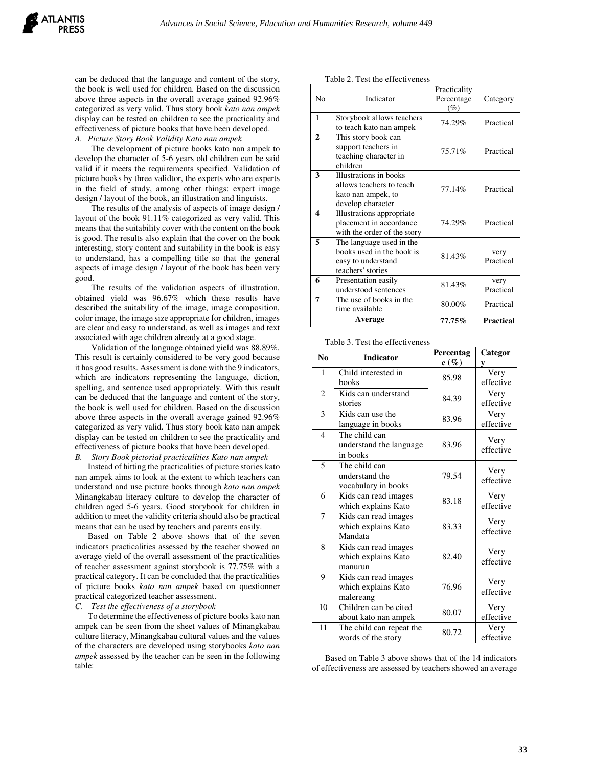can be deduced that the language and content of the story, the book is well used for children. Based on the discussion above three aspects in the overall average gained 92.96% categorized as very valid. Thus story book *kato nan ampek*  display can be tested on children to see the practicality and effectiveness of picture books that have been developed. *A. Picture Story Book Validity Kato nan ampek*

The development of picture books kato nan ampek to develop the character of 5-6 years old children can be said valid if it meets the requirements specified. Validation of picture books by three validtor, the experts who are experts in the field of study, among other things: expert image design / layout of the book, an illustration and linguists.

The results of the analysis of aspects of image design / layout of the book 91.11% categorized as very valid. This means that the suitability cover with the content on the book is good. The results also explain that the cover on the book interesting, story content and suitability in the book is easy to understand, has a compelling title so that the general aspects of image design / layout of the book has been very good.

The results of the validation aspects of illustration, obtained yield was 96.67% which these results have described the suitability of the image, image composition, color image, the image size appropriate for children, images are clear and easy to understand, as well as images and text associated with age children already at a good stage.

Validation of the language obtained yield was 88.89%. This result is certainly considered to be very good because it has good results. Assessment is done with the 9 indicators, which are indicators representing the language, diction, spelling, and sentence used appropriately. With this result can be deduced that the language and content of the story, the book is well used for children. Based on the discussion above three aspects in the overall average gained 92.96% categorized as very valid. Thus story book kato nan ampek display can be tested on children to see the practicality and effectiveness of picture books that have been developed. *B. Story Book pictorial practicalities Kato nan ampek*

Instead of hitting the practicalities of picture stories kato nan ampek aims to look at the extent to which teachers can understand and use picture books through *kato nan ampek* Minangkabau literacy culture to develop the character of children aged 5-6 years. Good storybook for children in addition to meet the validity criteria should also be practical means that can be used by teachers and parents easily.

Based on Table 2 above shows that of the seven indicators practicalities assessed by the teacher showed an average yield of the overall assessment of the practicalities of teacher assessment against storybook is 77.75% with a practical category. It can be concluded that the practicalities of picture books *kato nan ampek* based on questionner practical categorized teacher assessment.

*C. Test the effectiveness of a storybook*

To determine the effectiveness of picture books kato nan ampek can be seen from the sheet values of Minangkabau culture literacy, Minangkabau cultural values and the values of the characters are developed using storybooks *kato nan ampek* assessed by the teacher can be seen in the following table:

| No             | Indicator                                                                                        | Practicality<br>Percentage<br>$(\%)$ | Category          |
|----------------|--------------------------------------------------------------------------------------------------|--------------------------------------|-------------------|
| 1              | Storybook allows teachers<br>to teach kato nan ampek                                             | 74.29%                               | Practical         |
| $\overline{2}$ | This story book can<br>support teachers in<br>teaching character in<br>children                  | 75.71%                               |                   |
| 3              | Illustrations in books<br>allows teachers to teach<br>kato nan ampek, to<br>develop character    | 77.14%                               | Practical         |
| 4              | Illustrations appropriate<br>placement in accordance<br>with the order of the story              | 74.29%                               | Practical         |
| 5              | The language used in the<br>books used in the book is<br>easy to understand<br>teachers' stories | 81.43%                               | very<br>Practical |
| 6              | Presentation easily<br>understood sentences                                                      | very<br>81.43%<br>Practical          |                   |
| 7              | The use of books in the<br>80.00%<br>time available                                              |                                      | Practical         |
|                | Average                                                                                          | 77.75%                               | <b>Practical</b>  |

Table 3. Test the effectiveness

Table 2. Test the effectiveness

| rable 5. Fest the effectiveness |                                                          |                      |                   |  |
|---------------------------------|----------------------------------------------------------|----------------------|-------------------|--|
| No                              | <b>Indicator</b>                                         | Percentag<br>$e(\%)$ | Categor<br>у      |  |
| 1                               | Child interested in<br>books                             | 85.98                | Very<br>effective |  |
| $\mathfrak{D}$                  | Kids can understand<br>stories                           | 84.39                | Very<br>effective |  |
| 3                               | Kids can use the<br>language in books                    | 83.96                | Very<br>effective |  |
| $\overline{4}$                  | The child can<br>understand the language<br>in books     | 83.96                | Very<br>effective |  |
| $\overline{5}$                  | The child can<br>understand the<br>vocabulary in books   | 79.54                | Very<br>effective |  |
| 6                               | Kids can read images<br>which explains Kato              | 83.18                | Very<br>effective |  |
| 7                               | Kids can read images<br>which explains Kato<br>Mandata   | 83.33                | Very<br>effective |  |
| 8                               | Kids can read images<br>which explains Kato<br>manurun   | 82.40                | Very<br>effective |  |
| 9                               | Kids can read images<br>which explains Kato<br>malereang | 76.96                | Very<br>effective |  |
| 10                              | Children can be cited<br>about kato nan ampek            | 80.07                | Very<br>effective |  |
| 11                              | The child can repeat the<br>words of the story           | 80.72                | Very<br>effective |  |

Based on Table 3 above shows that of the 14 indicators of effectiveness are assessed by teachers showed an average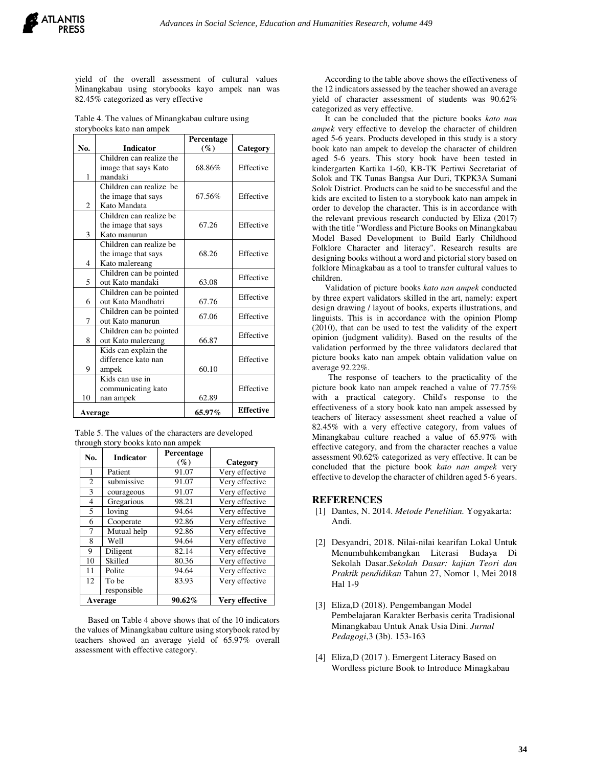

yield of the overall assessment of cultural values Minangkabau using storybooks kayo ampek nan was 82.45% categorized as very effective

Table 4. The values of Minangkabau culture using storybooks kato nan ampek

|         |                          | Percentage |                  |  |
|---------|--------------------------|------------|------------------|--|
| No.     | <b>Indicator</b>         | $(\%)$     | Category         |  |
|         | Children can realize the |            |                  |  |
|         | image that says Kato     | 68.86%     | Effective        |  |
| 1       | mandaki                  |            |                  |  |
|         | Children can realize be  |            |                  |  |
|         | the image that says      | 67.56%     | Effective        |  |
| 2       | Kato Mandata             |            |                  |  |
|         | Children can realize be  |            |                  |  |
|         | the image that says      | 67.26      | Effective        |  |
| 3       | Kato manurun             |            |                  |  |
|         | Children can realize be  |            |                  |  |
|         | the image that says      | 68.26      | Effective        |  |
| 4       | Kato malereang           |            |                  |  |
|         | Children can be pointed  | Effective  |                  |  |
| 5       | out Kato mandaki         | 63.08      |                  |  |
|         | Children can be pointed  |            | Effective        |  |
| 6       | out Kato Mandhatri       | 67.76      |                  |  |
|         | Children can be pointed  | 67.06      | Effective        |  |
| 7       | out Kato manurun         |            |                  |  |
|         | Children can be pointed  | Effective  |                  |  |
| 8       | out Kato malereang       | 66.87      |                  |  |
|         | Kids can explain the     |            |                  |  |
|         | difference kato nan      |            | Effective        |  |
| 9       | ampek                    | 60.10      |                  |  |
|         | Kids can use in          |            |                  |  |
|         | communicating kato       |            | Effective        |  |
| 10      | nan ampek                | 62.89      |                  |  |
| Average |                          | 65.97%     | <b>Effective</b> |  |

| Table 5. The values of the characters are developed |  |
|-----------------------------------------------------|--|
| through story books kato nan ampek                  |  |

| No.            | <b>Indicator</b> | Percentage<br>$(\%)$ | Category       |
|----------------|------------------|----------------------|----------------|
| 1              | Patient          | 91.07                | Very effective |
| $\overline{c}$ | submissive       | 91.07                | Very effective |
| 3              | courageous       | 91.07                | Very effective |
| 4              | Gregarious       | 98.21                | Very effective |
| 5              | loving           | 94.64                | Very effective |
| 6              | Cooperate        | 92.86                | Very effective |
| 7              | Mutual help      | 92.86                | Very effective |
| 8              | Well             | 94.64                | Very effective |
| 9              | Diligent         | 82.14                | Very effective |
| 10             | Skilled          | 80.36                | Very effective |
| 11             | Polite           | 94.64                | Very effective |
| 12             | To be            | 83.93                | Very effective |
|                | responsible      |                      |                |
|                | Average          | 90.62%               | Very effective |

Based on Table 4 above shows that of the 10 indicators the values of Minangkabau culture using storybook rated by teachers showed an average yield of 65.97% overall assessment with effective category.

According to the table above shows the effectiveness of the 12 indicators assessed by the teacher showed an average yield of character assessment of students was 90.62% categorized as very effective.

It can be concluded that the picture books *kato nan ampek* very effective to develop the character of children aged 5-6 years. Products developed in this study is a story book kato nan ampek to develop the character of children aged 5-6 years. This story book have been tested in kindergarten Kartika 1-60, KB-TK Pertiwi Secretariat of Solok and TK Tunas Bangsa Aur Duri, TKPK3A Sumani Solok District. Products can be said to be successful and the kids are excited to listen to a storybook kato nan ampek in order to develop the character. This is in accordance with the relevant previous research conducted by Eliza (2017) with the title "Wordless and Picture Books on Minangkabau Model Based Development to Build Early Childhood Folklore Character and literacy". Research results are designing books without a word and pictorial story based on folklore Minagkabau as a tool to transfer cultural values to children.

Validation of picture books *kato nan ampek* conducted by three expert validators skilled in the art, namely: expert design drawing / layout of books, experts illustrations, and linguists. This is in accordance with the opinion Plomp (2010), that can be used to test the validity of the expert opinion (judgment validity). Based on the results of the validation performed by the three validators declared that picture books kato nan ampek obtain validation value on average 92.22%.

The response of teachers to the practicality of the picture book kato nan ampek reached a value of 77.75% with a practical category. Child's response to the effectiveness of a story book kato nan ampek assessed by teachers of literacy assessment sheet reached a value of 82.45% with a very effective category, from values of Minangkabau culture reached a value of 65.97% with effective category, and from the character reaches a value assessment 90.62% categorized as very effective. It can be concluded that the picture book *kato nan ampek* very effective to develop the character of children aged 5-6 years.

## **REFERENCES**

- [1] Dantes, N. 2014. *Metode Penelitian.* Yogyakarta: Andi.
- [2] Desyandri, 2018. Nilai-nilai kearifan Lokal Untuk Menumbuhkembangkan Literasi Budaya Di Sekolah Dasar.*Sekolah Dasar: kajian Teori dan Praktik pendidikan* Tahun 27, Nomor 1, Mei 2018 Hal 1-9
- [3] Eliza,D (2018). Pengembangan Model Pembelajaran Karakter Berbasis cerita Tradisional Minangkabau Untuk Anak Usia Dini. *Jurnal Pedagogi*,3 **(**3b). 153-163
- [4] Eliza, D (2017). Emergent Literacy Based on Wordless picture Book to Introduce Minagkabau